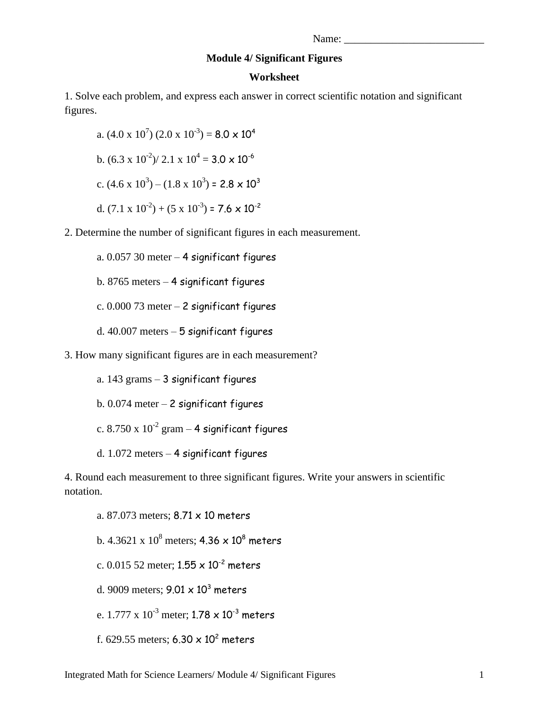## **Module 4/ Significant Figures**

## **Worksheet**

1. Solve each problem, and express each answer in correct scientific notation and significant figures.

a.  $(4.0 \times 10^7)$   $(2.0 \times 10^{-3}) = 8.0 \times 10^4$ b.  $(6.3 \times 10^{-2})/2.1 \times 10^{4} = 3.0 \times 10^{-6}$ 

c. 
$$
(4.6 \times 10^3) - (1.8 \times 10^3) = 2.8 \times 10^3
$$

d. 
$$
(7.1 \times 10^{-2}) + (5 \times 10^{-3}) = 7.6 \times 10^{-2}
$$

2. Determine the number of significant figures in each measurement.

a. 
$$
0.05730
$$
 meter – 4 significant figures

b. 8765 meters – 4 significant figures

c.  $0.000$  73 meter – 2 significant figures

d. 40.007 meters – 5 significant figures

3. How many significant figures are in each measurement?

a. 143 grams – 3 significant figures

b.  $0.074$  meter  $-2$  significant figures

c.  $8.750$  x  $10^{-2}$  gram – 4 significant figures

d. 1.072 meters – 4 significant figures

4. Round each measurement to three significant figures. Write your answers in scientific notation.

a. 87.073 meters; 8.71 x 10 meters b.  $4.3621 \times 10^8$  meters;  $4.36 \times 10^8$  meters c.  $0.015$  52 meter;  $1.55 \times 10^{-2}$  meters d. 9009 meters;  $9.01 \times 10^3$  meters e.  $1.777 \times 10^{-3}$  meter;  $1.78 \times 10^{-3}$  meters

f. 629.55 meters;  $6.30 \times 10^2$  meters